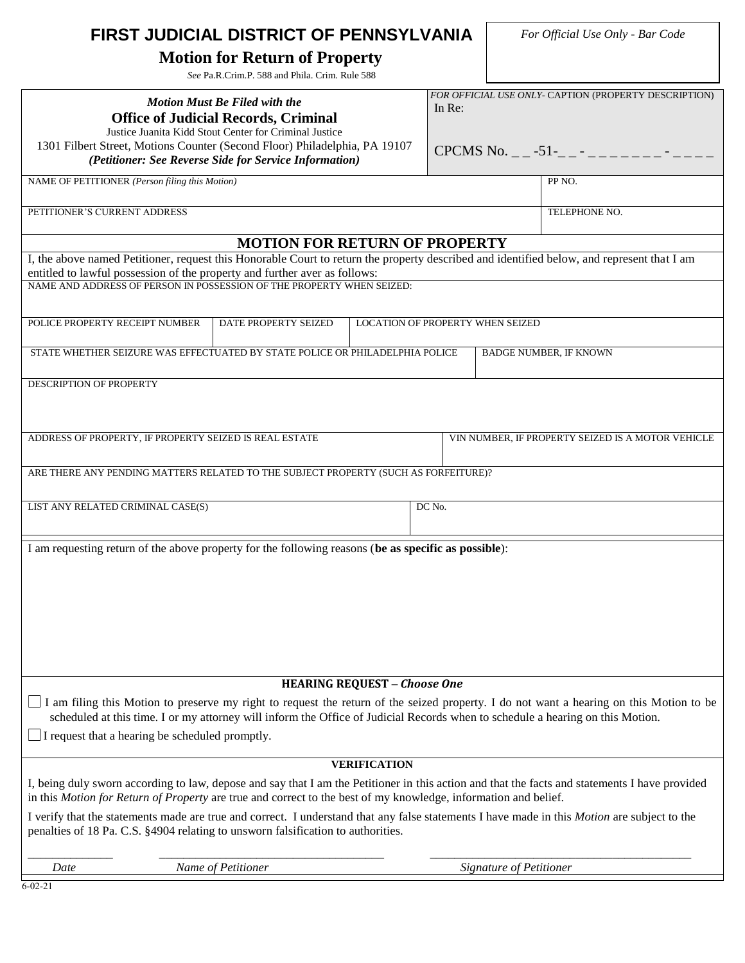| FIRST JUDICIAL DISTRICT OF PENNSYLVANIA                                                                                                                                                                                                                                   |  |               | For Official Use Only - Bar Code                      |  |
|---------------------------------------------------------------------------------------------------------------------------------------------------------------------------------------------------------------------------------------------------------------------------|--|---------------|-------------------------------------------------------|--|
| <b>Motion for Return of Property</b><br>See Pa.R.Crim.P. 588 and Phila. Crim. Rule 588                                                                                                                                                                                    |  |               |                                                       |  |
|                                                                                                                                                                                                                                                                           |  |               | FOR OFFICIAL USE ONLY- CAPTION (PROPERTY DESCRIPTION) |  |
| <b>Motion Must Be Filed with the</b><br><b>Office of Judicial Records, Criminal</b><br>Justice Juanita Kidd Stout Center for Criminal Justice                                                                                                                             |  | In Re:        |                                                       |  |
| 1301 Filbert Street, Motions Counter (Second Floor) Philadelphia, PA 19107<br>(Petitioner: See Reverse Side for Service Information)                                                                                                                                      |  |               | CPCMS No. $-$ -51- $-$ -------                        |  |
| NAME OF PETITIONER (Person filing this Motion)                                                                                                                                                                                                                            |  |               | PP NO.                                                |  |
| PETITIONER'S CURRENT ADDRESS                                                                                                                                                                                                                                              |  | TELEPHONE NO. |                                                       |  |
| <b>MOTION FOR RETURN OF PROPERTY</b>                                                                                                                                                                                                                                      |  |               |                                                       |  |
| I, the above named Petitioner, request this Honorable Court to return the property described and identified below, and represent that I am<br>entitled to lawful possession of the property and further aver as follows:                                                  |  |               |                                                       |  |
| NAME AND ADDRESS OF PERSON IN POSSESSION OF THE PROPERTY WHEN SEIZED:                                                                                                                                                                                                     |  |               |                                                       |  |
|                                                                                                                                                                                                                                                                           |  |               |                                                       |  |
| POLICE PROPERTY RECEIPT NUMBER<br>DATE PROPERTY SEIZED<br><b>LOCATION OF PROPERTY WHEN SEIZED</b>                                                                                                                                                                         |  |               |                                                       |  |
| STATE WHETHER SEIZURE WAS EFFECTUATED BY STATE POLICE OR PHILADELPHIA POLICE                                                                                                                                                                                              |  |               | <b>BADGE NUMBER, IF KNOWN</b>                         |  |
| <b>DESCRIPTION OF PROPERTY</b>                                                                                                                                                                                                                                            |  |               |                                                       |  |
|                                                                                                                                                                                                                                                                           |  |               |                                                       |  |
| ADDRESS OF PROPERTY, IF PROPERTY SEIZED IS REAL ESTATE<br>VIN NUMBER, IF PROPERTY SEIZED IS A MOTOR VEHICLE                                                                                                                                                               |  |               |                                                       |  |
| ARE THERE ANY PENDING MATTERS RELATED TO THE SUBJECT PROPERTY (SUCH AS FORFEITURE)?                                                                                                                                                                                       |  |               |                                                       |  |
| LIST ANY RELATED CRIMINAL CASE(S)                                                                                                                                                                                                                                         |  | $DC$ No.      |                                                       |  |
| I am requesting return of the above property for the following reasons (be as specific as possible):                                                                                                                                                                      |  |               |                                                       |  |
|                                                                                                                                                                                                                                                                           |  |               |                                                       |  |
|                                                                                                                                                                                                                                                                           |  |               |                                                       |  |
|                                                                                                                                                                                                                                                                           |  |               |                                                       |  |
|                                                                                                                                                                                                                                                                           |  |               |                                                       |  |
|                                                                                                                                                                                                                                                                           |  |               |                                                       |  |
| <b>HEARING REQUEST - Choose One</b>                                                                                                                                                                                                                                       |  |               |                                                       |  |
| I am filing this Motion to preserve my right to request the return of the seized property. I do not want a hearing on this Motion to be<br>scheduled at this time. I or my attorney will inform the Office of Judicial Records when to schedule a hearing on this Motion. |  |               |                                                       |  |
| $\Box$ I request that a hearing be scheduled promptly.                                                                                                                                                                                                                    |  |               |                                                       |  |
| <b>VERIFICATION</b>                                                                                                                                                                                                                                                       |  |               |                                                       |  |
| I, being duly sworn according to law, depose and say that I am the Petitioner in this action and that the facts and statements I have provided<br>in this Motion for Return of Property are true and correct to the best of my knowledge, information and belief.         |  |               |                                                       |  |
| I verify that the statements made are true and correct. I understand that any false statements I have made in this <i>Motion</i> are subject to the<br>penalties of 18 Pa. C.S. §4904 relating to unsworn falsification to authorities.                                   |  |               |                                                       |  |
| Name of Petitioner<br>Date                                                                                                                                                                                                                                                |  |               | Signature of Petitioner                               |  |
| $6 - 02 - 21$                                                                                                                                                                                                                                                             |  |               |                                                       |  |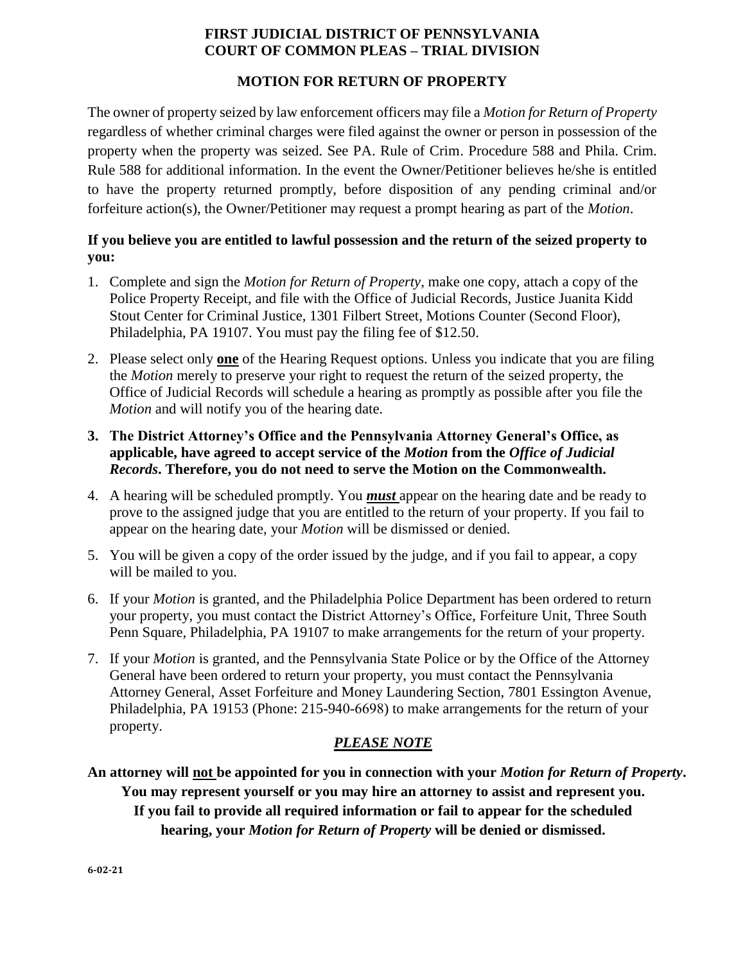## **FIRST JUDICIAL DISTRICT OF PENNSYLVANIA COURT OF COMMON PLEAS – TRIAL DIVISION**

### **MOTION FOR RETURN OF PROPERTY**

The owner of property seized by law enforcement officers may file a *Motion for Return of Property* regardless of whether criminal charges were filed against the owner or person in possession of the property when the property was seized. See PA. Rule of Crim. Procedure 588 and Phila. Crim. Rule 588 for additional information. In the event the Owner/Petitioner believes he/she is entitled to have the property returned promptly, before disposition of any pending criminal and/or forfeiture action(s), the Owner/Petitioner may request a prompt hearing as part of the *Motion*.

## **If you believe you are entitled to lawful possession and the return of the seized property to you:**

- 1. Complete and sign the *Motion for Return of Property*, make one copy, attach a copy of the Police Property Receipt, and file with the Office of Judicial Records, Justice Juanita Kidd Stout Center for Criminal Justice, 1301 Filbert Street, Motions Counter (Second Floor), Philadelphia, PA 19107. You must pay the filing fee of \$12.50.
- 2. Please select only **one** of the Hearing Request options. Unless you indicate that you are filing the *Motion* merely to preserve your right to request the return of the seized property, the Office of Judicial Records will schedule a hearing as promptly as possible after you file the *Motion* and will notify you of the hearing date.
- **3. The District Attorney's Office and the Pennsylvania Attorney General's Office, as applicable, have agreed to accept service of the** *Motion* **from the** *Office of Judicial Records***. Therefore, you do not need to serve the Motion on the Commonwealth.**
- 4. A hearing will be scheduled promptly. You *must* appear on the hearing date and be ready to prove to the assigned judge that you are entitled to the return of your property. If you fail to appear on the hearing date, your *Motion* will be dismissed or denied.
- 5. You will be given a copy of the order issued by the judge, and if you fail to appear, a copy will be mailed to you.
- 6. If your *Motion* is granted, and the Philadelphia Police Department has been ordered to return your property, you must contact the District Attorney's Office, Forfeiture Unit, Three South Penn Square, Philadelphia, PA 19107 to make arrangements for the return of your property.
- 7. If your *Motion* is granted, and the Pennsylvania State Police or by the Office of the Attorney General have been ordered to return your property, you must contact the Pennsylvania Attorney General, Asset Forfeiture and Money Laundering Section, 7801 Essington Avenue, Philadelphia, PA 19153 (Phone: 215-940-6698) to make arrangements for the return of your property.

# *PLEASE NOTE*

**An attorney will not be appointed for you in connection with your** *Motion for Return of Property***. You may represent yourself or you may hire an attorney to assist and represent you. If you fail to provide all required information or fail to appear for the scheduled hearing, your** *Motion for Return of Property* **will be denied or dismissed.**